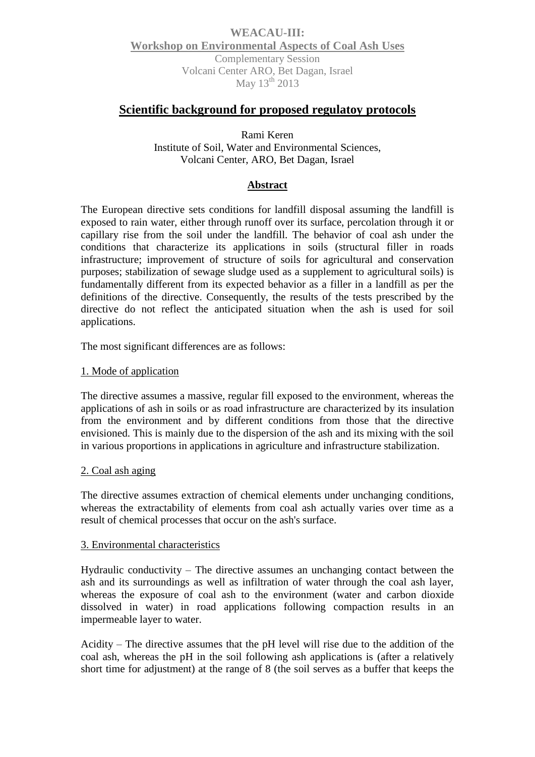## **WEACAU-III: Workshop on Environmental Aspects of Coal Ash Uses** Complementary Session Volcani Center ARO, Bet Dagan, Israel May  $13<sup>th</sup>$  2013

# **Scientific background for proposed regulatoy protocols**

Rami Keren Institute of Soil, Water and Environmental Sciences, Volcani Center, ARO, Bet Dagan, Israel

## **Abstract**

The European directive sets conditions for landfill disposal assuming the landfill is exposed to rain water, either through runoff over its surface, percolation through it or capillary rise from the soil under the landfill. The behavior of coal ash under the conditions that characterize its applications in soils (structural filler in roads infrastructure; improvement of structure of soils for agricultural and conservation purposes; stabilization of sewage sludge used as a supplement to agricultural soils) is fundamentally different from its expected behavior as a filler in a landfill as per the definitions of the directive. Consequently, the results of the tests prescribed by the directive do not reflect the anticipated situation when the ash is used for soil applications.

The most significant differences are as follows:

#### 1. Mode of application

The directive assumes a massive, regular fill exposed to the environment, whereas the applications of ash in soils or as road infrastructure are characterized by its insulation from the environment and by different conditions from those that the directive envisioned. This is mainly due to the dispersion of the ash and its mixing with the soil in various proportions in applications in agriculture and infrastructure stabilization.

#### 2. Coal ash aging

The directive assumes extraction of chemical elements under unchanging conditions, whereas the extractability of elements from coal ash actually varies over time as a result of chemical processes that occur on the ash's surface.

#### 3. Environmental characteristics

Hydraulic conductivity  $-$  The directive assumes an unchanging contact between the ash and its surroundings as well as infiltration of water through the coal ash layer, whereas the exposure of coal ash to the environment (water and carbon dioxide dissolved in water) in road applications following compaction results in an impermeable layer to water.

Acidity – The directive assumes that the pH level will rise due to the addition of the coal ash, whereas the pH in the soil following ash applications is (after a relatively short time for adjustment) at the range of 8 (the soil serves as a buffer that keeps the